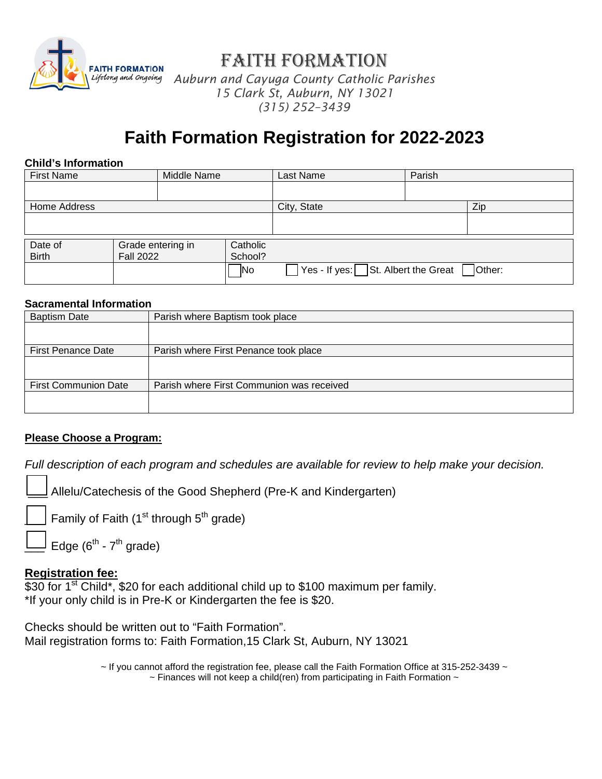

Faith Formation

*Auburn and Cayuga County Catholic Parishes 15 Clark St, Auburn, NY 13021 (315) 252–3439*

# **Faith Formation Registration for 2022-2023**

#### **Child's Information**

| <b>First Name</b> |                   | Middle Name |            | Last Name                                    | Parish |        |
|-------------------|-------------------|-------------|------------|----------------------------------------------|--------|--------|
|                   |                   |             |            |                                              |        |        |
| Home Address      |                   |             |            | City, State                                  |        | Zip    |
|                   |                   |             |            |                                              |        |        |
|                   |                   |             |            |                                              |        |        |
| Date of           | Grade entering in |             | Catholic   |                                              |        |        |
| <b>Birth</b>      | <b>Fall 2022</b>  |             | School?    |                                              |        |        |
|                   |                   |             | <b>INo</b> | $\sqrt{Y}$ es - If yes: St. Albert the Great |        | Other: |

#### **Sacramental Information**

| <b>Baptism Date</b>         | Parish where Baptism took place           |  |  |  |
|-----------------------------|-------------------------------------------|--|--|--|
|                             |                                           |  |  |  |
|                             |                                           |  |  |  |
| <b>First Penance Date</b>   | Parish where First Penance took place     |  |  |  |
|                             |                                           |  |  |  |
|                             |                                           |  |  |  |
| <b>First Communion Date</b> | Parish where First Communion was received |  |  |  |
|                             |                                           |  |  |  |
|                             |                                           |  |  |  |

## **Please Choose a Program:**

*Full description of each program and schedules are available for review to help make your decision.*

Allelu/Catechesis of the Good Shepherd (Pre-K and Kindergarten)

Family of Faith ( $1<sup>st</sup>$  through  $5<sup>th</sup>$  grade)

Edge  $(6^{th}$  -  $7^{th}$  grade)

## **Registration fee:**

 $$30$  for 1<sup>st</sup> Child\*, \$20 for each additional child up to \$100 maximum per family. \*If your only child is in Pre-K or Kindergarten the fee is \$20.

Checks should be written out to "Faith Formation". Mail registration forms to: Faith Formation,15 Clark St, Auburn, NY 13021

> $\sim$  If you cannot afford the registration fee, please call the Faith Formation Office at 315-252-3439  $\sim$  $\sim$  Finances will not keep a child(ren) from participating in Faith Formation  $\sim$